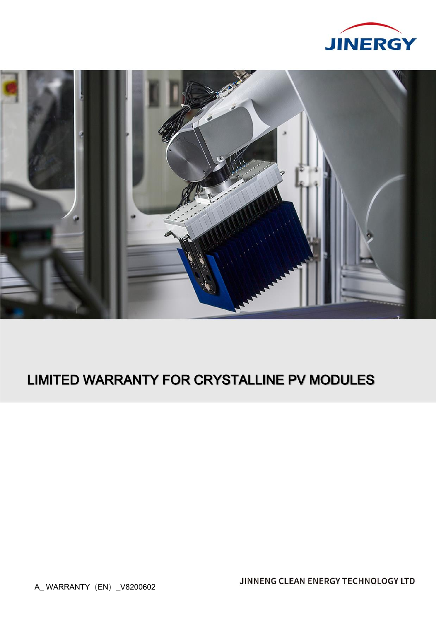



# LIMITED WARRANTY FOR CRYSTALLINE PV MODULES

A\_WARRANTY (EN) \_V8200602

JINNENG CLEAN ENERGY TECHNOLOGY LTD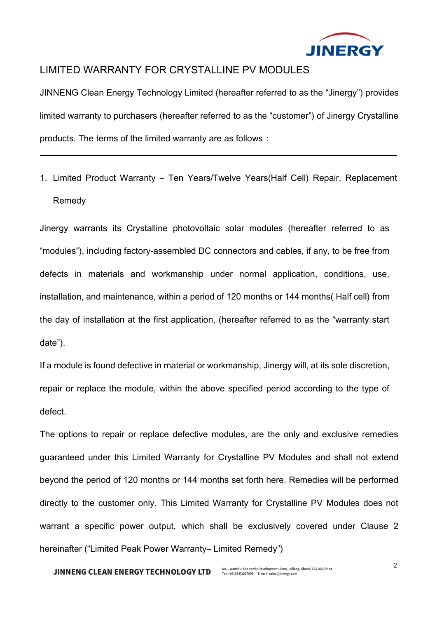

# LIMITED WARRANTY FOR CRYSTALLINE PV MODULES

JINNENG Clean Energy Technology Limited (hereafter referred to as the "Jinergy") provides limited warranty to purchasers (hereafter referred to as the "customer") of Jinergy Crystalline products. The terms of the limited warranty are as follows:

1. Limited Product Warranty – Ten Years/Twelve Years(Half Cell) Repair, Replacement Remedy

Jinergy warrants its Crystalline photovoltaic solar modules (hereafter referred to as "modules"), including factory-assembled DC connectors and cables, if any, to be free from defects in materials and workmanship under normal application, conditions, use, installation, and maintenance, within a period of 120 months or 144 months( Half cell) from the day of installation at the first application, (hereafter referred to as the "warranty start date").

If a module is found defective in material or workmanship, Jinergy will, at its sole discretion, repair or replace the module, within the above specified period according to the type of defect.

The options to repair or replace defective modules, are the only and exclusive remedies guaranteed under this Limited Warranty for Crystalline PV Modules and shall not extend beyond the period of 120 months or 144 months set forth here. Remedies will be performed directly to the customer only. This Limited Warranty for Crystalline PV Modules does not warrant a specific power output, which shall be exclusively covered under Clause 2 hereinafter ("Limited Peak Power Warranty– Limited Remedy")

#### **JINNENG CLEAN ENERGY TECHNOLOGY LTD**

No.1 Wenshui Economic Development Zone, Lvliang, Shanxi 032100, China Tel: +86(354)2037999 E-mail: sales@jinergy.com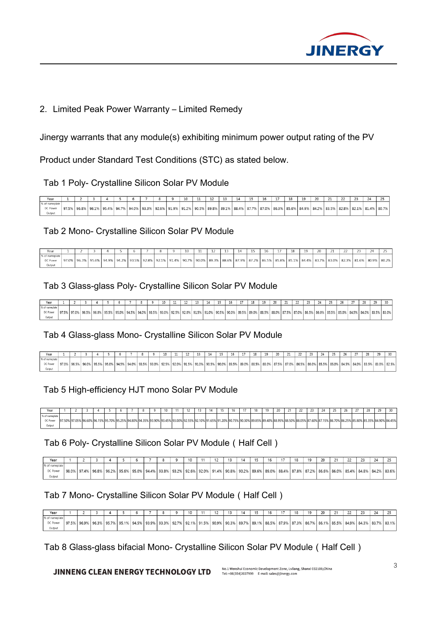

## 2. Limited Peak Power Warranty – Limited Remedy

Jinergy warrants that any module(s) exhibiting minimum power output rating of the PV

Product under Standard Test Conditions (STC) as stated below.

Tab 1 Poly- Crystalline Silicon Solar PV Module

|                |             |  |  |  | 10 |  |                                                                                                     |  |                                       | 18 |  |  |             | 24 |             |
|----------------|-------------|--|--|--|----|--|-----------------------------------------------------------------------------------------------------|--|---------------------------------------|----|--|--|-------------|----|-------------|
| % of nameplate |             |  |  |  |    |  |                                                                                                     |  |                                       |    |  |  |             |    |             |
| DC Power       | 97.5% 96.8% |  |  |  |    |  | │96.1% │95.4% │94.7% │94.0% │93.3% │92.6% │91.9% │91.2% │90.5% │89.8% │89.1% │88.4% │87.7% │87.0% │ |  | 86.3%   85.6%   84.9%   84.2%   83.5% |    |  |  | 82.8% 82.1% |    | 81.4% 80.7% |
| Output         |             |  |  |  |    |  |                                                                                                     |  |                                       |    |  |  |             |    |             |

### Tab 2 Mono- Crystalline Silicon Solar PV Module

| Year           |       |       |                |             |       |             |                         | <b>ALCOHOL</b> |  |                     |  |                   | 18 | 10 | 20    |       |             | 24          |  |
|----------------|-------|-------|----------------|-------------|-------|-------------|-------------------------|----------------|--|---------------------|--|-------------------|----|----|-------|-------|-------------|-------------|--|
| % of nameplate |       |       |                |             |       |             |                         |                |  |                     |  |                   |    |    |       |       |             |             |  |
| DC Power       | 97.0% | 96.3% | $95.6\%$ 94.9% | 94.2% 93.5% | 92.8% | 92.1% 91.4% | 90.7% 90.0% 89.3% 88.6% |                |  | 6 87.9% 87.2% 86.5% |  | 85.8% 85.1% 84.4% |    |    | 83.7% | 83.0% | 82.3% 81.6% | 80.9% 80.2% |  |
| Output         |       |       |                |             |       |             |                         |                |  |                     |  |                   |    |    |       |       |             |             |  |

### Tab 3 Glass-glass Poly- Crystalline Silicon Solar PV Module

|              |       |          |       |       |             |       |            |       |       | $-$        |       |       | 15<br> | 16    |       |       | 10<br>** | $\sim$<br>۷۷ |       | $\sim$<br>$\epsilon$ |       | $- -$<br>$-$ |       |       |       |                   |  |
|--------------|-------|----------|-------|-------|-------------|-------|------------|-------|-------|------------|-------|-------|--------|-------|-------|-------|----------|--------------|-------|----------------------|-------|--------------|-------|-------|-------|-------------------|--|
| % of namepla |       |          |       |       |             |       |            |       |       |            |       |       |        |       |       |       |          |              |       |                      |       |              |       |       |       |                   |  |
| DC Powe      | 97.5% | $97.0\%$ | 96.0% | 95.5% | 95.0% 94.5% | 94.0% | .∘93.5% اه | 93.0% | 92.5% | $ 92.0\% $ | 91.5% | 91.0% | 90.5%  | 90.0% | 89.5% | 89.0% | 88.5%    | 88.0%        | 87.5% | 87.0% 86.59          | 86.0% | 85.5%        | 85.0% | 84.5% | 84.0% | $5 83.5\% 83.0\%$ |  |
|              |       |          |       |       |             |       |            |       |       |            |       |       |        |       |       |       |          |              |       |                      |       |              |       |       |       |                   |  |

#### Tab 4 Glass-glass Mono- Crystalline Silicon Solar PV Module

|             |       |       |       |             |             |       |           | 10    |         | $-1$<br>ᅭ | $\sim$ |                              | 15    | $\sim$ | - -   | 18    | 19    | 20    | 21    | $\sim$ |             | $\sim$ |       | 26    | $\sim$   | $\sim$ | 20    |       |
|-------------|-------|-------|-------|-------------|-------------|-------|-----------|-------|---------|-----------|--------|------------------------------|-------|--------|-------|-------|-------|-------|-------|--------|-------------|--------|-------|-------|----------|--------|-------|-------|
| % of namenk |       |       |       |             |             |       |           |       |         |           |        |                              |       |        |       |       |       |       |       |        |             |        |       |       |          |        |       |       |
| DC Power    | 97.0% | 96.5% | 96.0% | 95.5% 95.0% | 94.5% 94.0% | 93.5% | $193.0\%$ | 92.5% | , 92.0% | 91.5%     | 91.0%  | $\lambda$ 190.5 <sup>o</sup> | 90.0% | 89.5%  | 89.0% | 88.5% | 88.0% | 87.5% | 87.0% | 86.5%  | 86.0% 85.5% |        | 85.0% | 84.5% | $84.0\%$ | 83.5%  | 83.0% | 82.5% |
| Output      |       |       |       |             |             |       |           |       |         |           |        |                              |       |        |       |       |       |       |       |        |             |        |       |       |          |        |       |       |

### Tab 5 High-efficiency HJT mono Solar PV Module

| ジベコト      |                      |      |                         |  |            |           |          |                           |  | 16 | $\sim$ |     | $\sim$                    |                |  | <br> | $\sim$ | ້ |                               |
|-----------|----------------------|------|-------------------------|--|------------|-----------|----------|---------------------------|--|----|--------|-----|---------------------------|----------------|--|------|--------|---|-------------------------------|
| Kof naman |                      |      |                         |  |            |           |          |                           |  |    |        |     |                           |                |  |      |        |   |                               |
| DC Power  | 97.50% 97.05% 96.60% | ນ ເດ | 70120.1370123.1070123.4 |  | 25% 94.809 | we loo on | 96 I D.P | <sup>3</sup> <192.55% 9c. |  |    |        | 196 | 100. ISL<br>%189.40%188.9 | 0 <sub>0</sub> |  |      |        |   | 6 85.80% 85.35% 84.90% 84.45% |
|           |                      |      |                         |  |            |           |          |                           |  |    |        |     |                           |                |  |      |        |   |                               |

### Tab 6 Poly- Crystalline Silicon Solar PV Module(Half Cell)

| Year                                 |       |  |  |  |                                                                                                                                                                            |  |  |  |  |  |  |  | 24 |                               |
|--------------------------------------|-------|--|--|--|----------------------------------------------------------------------------------------------------------------------------------------------------------------------------|--|--|--|--|--|--|--|----|-------------------------------|
| % of nameplate<br>DC Power<br>Output | 98.0% |  |  |  | <u>.   97.4%   96.8%   96.2%   95.6%   95.0%   94.4%   93.8%   93.2%   92.6%   92.0%   91.4%   90.8%   90.2%   89.0%   88.0%   88.4%   87.8%   87.2%   86.6%   86.0%  </u> |  |  |  |  |  |  |  |    | 85.4%   84.8%   84.2%   83.6% |

### Tab 7 Mono- Crystalline Silicon Solar PV Module (Half Cell)

| Yea            |       |       |                                               |                                               |  | 10 |  |  |                                       |  | 10 |                               |  | 24 |                         |
|----------------|-------|-------|-----------------------------------------------|-----------------------------------------------|--|----|--|--|---------------------------------------|--|----|-------------------------------|--|----|-------------------------|
| % of nameplate |       |       |                                               |                                               |  |    |  |  |                                       |  |    |                               |  |    |                         |
| DC Power       | 97.5% | 96.9% | $\frac{1}{2}$ 96.3% 95.7% 95.1% $\frac{1}{2}$ | 94.5%   93.9%   93.3%   92.7%   92.1%   91.5% |  |    |  |  | 90.9%   90.3%   89.7%   89.1%   88.5% |  |    | 87.9% 87.3% 86.7% 86.1% 85.5% |  |    | 84.9% 84.3% 83.7% 83.1% |
| Output         |       |       |                                               |                                               |  |    |  |  |                                       |  |    |                               |  |    |                         |

### Tab 8 Glass-glass bifacial Mono- Crystalline Silicon Solar PV Module(Half Cell)

#### **JINNENG CLEAN ENERGY TECHNOLOGY LTD**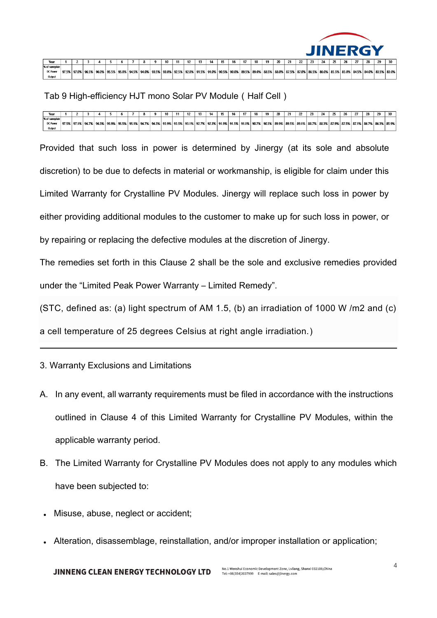

| Year                      |       |                     |           |                                                                                                                   |  |  | 10 |  | 13 |  | 16 |  | 19 |  |  |                                                                               |  |  |       |
|---------------------------|-------|---------------------|-----------|-------------------------------------------------------------------------------------------------------------------|--|--|----|--|----|--|----|--|----|--|--|-------------------------------------------------------------------------------|--|--|-------|
| % of nameplate            |       |                     |           |                                                                                                                   |  |  |    |  |    |  |    |  |    |  |  |                                                                               |  |  |       |
| <b>DC Power</b><br>Output | 97.5% | $\degree$   97.0% . | $196.5\%$ | <u>  96.0%   95.5%   95.0%   94.5%   94.0%   93.5%   93.0%   92.5%   92.0%   91.5%   91.0%   90.5%   90.0%   </u> |  |  |    |  |    |  |    |  |    |  |  | 89.5% 89.0% 88.5% 88.0% 87.5% 87.0% 86.5% 86.0% 85.5% 85.0% 84.5% 84.0% 83.5% |  |  | 83.0% |

Tab 9 High-efficiency HJT mono Solar PV Module(Half Cell)

| Year                                                 |       |                                        |  |  |  | 10 | 11 | $\ddot{\phantom{0}}$ | 14 | 10 | 16 | 18                                                                                                              | 19 | 20 |                     | <u>. .</u> | 22          | $^{\circ}$ | ▱ | $\sim$<br>ے |  | 30                                      |
|------------------------------------------------------|-------|----------------------------------------|--|--|--|----|----|----------------------|----|----|----|-----------------------------------------------------------------------------------------------------------------|----|----|---------------------|------------|-------------|------------|---|-------------|--|-----------------------------------------|
| % of nameplate<br>97.5%<br><b>DC Power</b><br>Output | 97.1% | $\degree$   96.7%   96.3%   95.9%   5. |  |  |  |    |    |                      |    |    |    | 1 95.5%   95.1%   94.7%   94.3%   93.9%   93.5%   93.1%   92.7%   92.3%   91.9%   91.5%   91.1%   90.7%   90.3% |    |    | 6 89.9% 89.5% 89.1% |            | 88.7% 88.3% |            |   |             |  | % 87.9% 87.5% 87.1% 86.7% 86.3% 85.9% 8 |

Provided that such loss in power is determined by Jinergy (at its sole and absolute discretion) to be due to defects in material or workmanship, is eligible for claim under this Limited Warranty for Crystalline PV Modules. Jinergy will replace such loss in power by either providing additional modules to the customer to make up for such loss in power, or by repairing or replacing the defective modules at the discretion of Jinergy.

The remedies set forth in this Clause 2 shall be the sole and exclusive remedies provided under the "Limited Peak Power Warranty – Limited Remedy".

(STC, defined as: (a) light spectrum of AM 1.5, (b) an irradiation of 1000 W /m2 and (c) a cell temperature of 25 degrees Celsius at right angle irradiation.)

3. Warranty Exclusions and Limitations

- A. In any event, all warranty requirements must be filed in accordance with the instructions outlined in Clause 4 of this Limited Warranty for Crystalline PV Modules, within the applicable warranty period.
- B. The Limited Warranty for Crystalline PV Modules does not apply to any modules which have been subjected to:
- Misuse, abuse, neglect or accident;
- Alteration, disassemblage, reinstallation, and/or improper installation or application;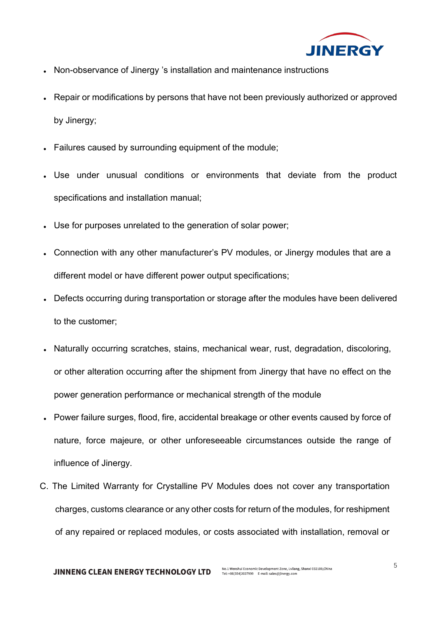

- Non-observance of Jinergy 's installation and maintenance instructions
- Repair or modifications by persons that have not been previously authorized or approved by Jinergy;
- Failures caused by surrounding equipment of the module;
- Use under unusual conditions or environments that deviate from the product specifications and installation manual;
- . Use for purposes unrelated to the generation of solar power;
- Connection with any other manufacturer's PV modules, or Jinergy modules that are a different model or have different power output specifications;
- Defects occurring during transportation or storage after the modules have been delivered to the customer;
- Naturally occurring scratches, stains, mechanical wear, rust, degradation, discoloring, or other alteration occurring after the shipment from Jinergy that have no effect on the power generation performance or mechanical strength of the module
- Power failure surges, flood, fire, accidental breakage or other events caused by force of nature, force majeure, or other unforeseeable circumstances outside the range of influence of Jinergy.
- C. The Limited Warranty for Crystalline PV Modules does not cover any transportation charges, customs clearance or any other costs for return of the modules, for reshipment of any repaired or replaced modules, or costs associated with installation, removal or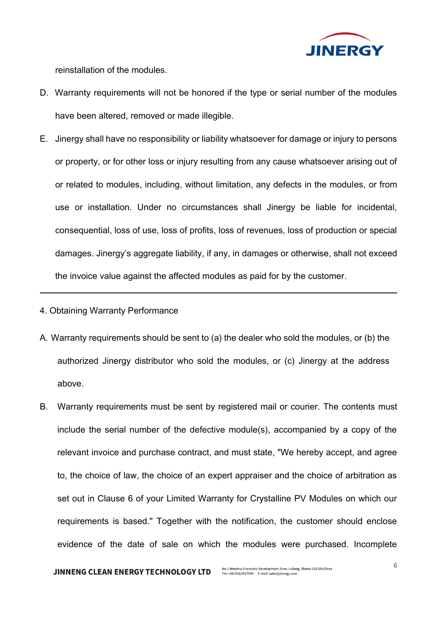

reinstallation of the modules.

- D. Warranty requirements will not be honored if the type or serial number of the modules have been altered, removed or made illegible.
- E. Jinergy shall have no responsibility or liability whatsoever for damage or injury to persons or property, or for other loss or injury resulting from any cause whatsoever arising out of or related to modules, including, without limitation, any defects in the modules, or from use or installation. Under no circumstances shall Jinergy be liable for incidental, consequential, loss of use, loss of profits, loss of revenues, loss of production or special damages. Jinergy's aggregate liability, if any, in damages or otherwise, shall not exceed the invoice value against the affected modules as paid for by the customer.

#### 4. Obtaining Warranty Performance

- A. Warranty requirements should be sent to (a) the dealer who sold the modules, or (b) the authorized Jinergy distributor who sold the modules, or (c) Jinergy at the address above.
- B. Warranty requirements must be sent by registered mail or courier. The contents must include the serial number of the defective module(s), accompanied by a copy of the relevant invoice and purchase contract, and must state, "We hereby accept, and agree to, the choice of law, the choice of an expert appraiser and the choice of arbitration as set out in Clause 6 of your Limited Warranty for Crystalline PV Modules on which our requirements is based." Together with the notification, the customer should enclose evidence of the date of sale on which the modules were purchased. Incomplete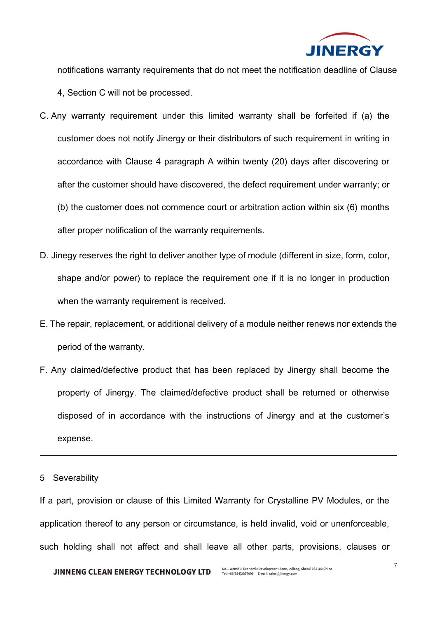

notifications warranty requirements that do not meet the notification deadline of Clause

- 4, Section C will not be processed.
- C. Any warranty requirement under this limited warranty shall be forfeited if (a) the customer does not notify Jinergy or their distributors of such requirement in writing in accordance with Clause 4 paragraph A within twenty (20) days after discovering or after the customer should have discovered, the defect requirement under warranty; or (b) the customer does not commence court or arbitration action within six (6) months after proper notification of the warranty requirements.
- D. Jinegy reserves the right to deliver another type of module (different in size, form, color, shape and/or power) to replace the requirement one if it is no longer in production when the warranty requirement is received.
- E. The repair, replacement, or additional delivery of a module neither renews nor extends the period of the warranty.
- F. Any claimed/defective product that has been replaced by Jinergy shall become the property of Jinergy. The claimed/defective product shall be returned or otherwise disposed of in accordance with the instructions of Jinergy and at the customer's expense.

#### 5 Severability

If a part, provision or clause of this Limited Warranty for Crystalline PV Modules, or the application thereof to any person or circumstance, is held invalid, void or unenforceable, such holding shall not affect and shall leave all other parts, provisions, clauses or